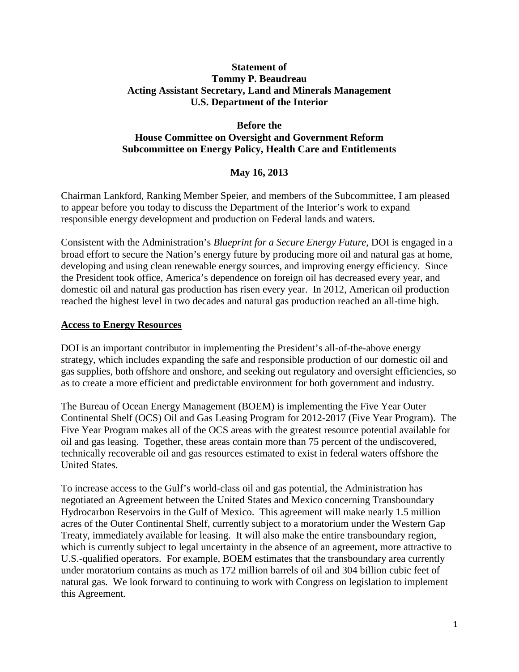#### **Statement of Tommy P. Beaudreau Acting Assistant Secretary, Land and Minerals Management U.S. Department of the Interior**

#### **Before the House Committee on Oversight and Government Reform Subcommittee on Energy Policy, Health Care and Entitlements**

## **May 16, 2013**

Chairman Lankford, Ranking Member Speier, and members of the Subcommittee, I am pleased to appear before you today to discuss the Department of the Interior's work to expand responsible energy development and production on Federal lands and waters.

Consistent with the Administration's *Blueprint for a Secure Energy Future*, DOI is engaged in a broad effort to secure the Nation's energy future by producing more oil and natural gas at home, developing and using clean renewable energy sources, and improving energy efficiency. Since the President took office, America's dependence on foreign oil has decreased every year, and domestic oil and natural gas production has risen every year. In 2012, American oil production reached the highest level in two decades and natural gas production reached an all-time high.

## **Access to Energy Resources**

DOI is an important contributor in implementing the President's all-of-the-above energy strategy, which includes expanding the safe and responsible production of our domestic oil and gas supplies, both offshore and onshore, and seeking out regulatory and oversight efficiencies, so as to create a more efficient and predictable environment for both government and industry.

The Bureau of Ocean Energy Management (BOEM) is implementing the Five Year Outer Continental Shelf (OCS) Oil and Gas Leasing Program for 2012-2017 (Five Year Program). The Five Year Program makes all of the OCS areas with the greatest resource potential available for oil and gas leasing. Together, these areas contain more than 75 percent of the undiscovered, technically recoverable oil and gas resources estimated to exist in federal waters offshore the United States.

To increase access to the Gulf's world-class oil and gas potential, the Administration has negotiated an Agreement between the United States and Mexico concerning Transboundary Hydrocarbon Reservoirs in the Gulf of Mexico. This agreement will make nearly 1.5 million acres of the Outer Continental Shelf, currently subject to a moratorium under the Western Gap Treaty, immediately available for leasing. It will also make the entire transboundary region, which is currently subject to legal uncertainty in the absence of an agreement, more attractive to U.S.-qualified operators. For example, BOEM estimates that the transboundary area currently under moratorium contains as much as 172 million barrels of oil and 304 billion cubic feet of natural gas. We look forward to continuing to work with Congress on legislation to implement this Agreement.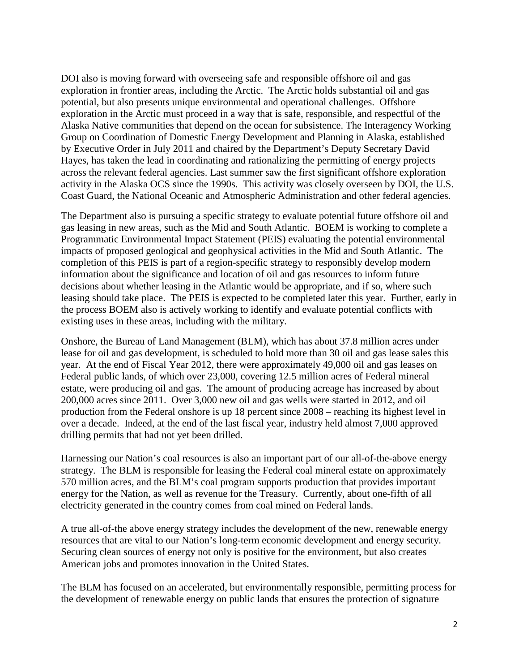DOI also is moving forward with overseeing safe and responsible offshore oil and gas exploration in frontier areas, including the Arctic. The Arctic holds substantial oil and gas potential, but also presents unique environmental and operational challenges. Offshore exploration in the Arctic must proceed in a way that is safe, responsible, and respectful of the Alaska Native communities that depend on the ocean for subsistence. The Interagency Working Group on Coordination of Domestic Energy Development and Planning in Alaska, established by Executive Order in July 2011 and chaired by the Department's Deputy Secretary David Hayes, has taken the lead in coordinating and rationalizing the permitting of energy projects across the relevant federal agencies. Last summer saw the first significant offshore exploration activity in the Alaska OCS since the 1990s. This activity was closely overseen by DOI, the U.S. Coast Guard, the National Oceanic and Atmospheric Administration and other federal agencies.

The Department also is pursuing a specific strategy to evaluate potential future offshore oil and gas leasing in new areas, such as the Mid and South Atlantic. BOEM is working to complete a Programmatic Environmental Impact Statement (PEIS) evaluating the potential environmental impacts of proposed geological and geophysical activities in the Mid and South Atlantic. The completion of this PEIS is part of a region-specific strategy to responsibly develop modern information about the significance and location of oil and gas resources to inform future decisions about whether leasing in the Atlantic would be appropriate, and if so, where such leasing should take place. The PEIS is expected to be completed later this year. Further, early in the process BOEM also is actively working to identify and evaluate potential conflicts with existing uses in these areas, including with the military.

Onshore, the Bureau of Land Management (BLM), which has about 37.8 million acres under lease for oil and gas development, is scheduled to hold more than 30 oil and gas lease sales this year. At the end of Fiscal Year 2012, there were approximately 49,000 oil and gas leases on Federal public lands, of which over 23,000, covering 12.5 million acres of Federal mineral estate, were producing oil and gas. The amount of producing acreage has increased by about 200,000 acres since 2011. Over 3,000 new oil and gas wells were started in 2012, and oil production from the Federal onshore is up 18 percent since 2008 – reaching its highest level in over a decade. Indeed, at the end of the last fiscal year, industry held almost 7,000 approved drilling permits that had not yet been drilled.

Harnessing our Nation's coal resources is also an important part of our all-of-the-above energy strategy. The BLM is responsible for leasing the Federal coal mineral estate on approximately 570 million acres, and the BLM's coal program supports production that provides important energy for the Nation, as well as revenue for the Treasury. Currently, about one-fifth of all electricity generated in the country comes from coal mined on Federal lands.

A true all-of-the above energy strategy includes the development of the new, renewable energy resources that are vital to our Nation's long-term economic development and energy security. Securing clean sources of energy not only is positive for the environment, but also creates American jobs and promotes innovation in the United States.

The BLM has focused on an accelerated, but environmentally responsible, permitting process for the development of renewable energy on public lands that ensures the protection of signature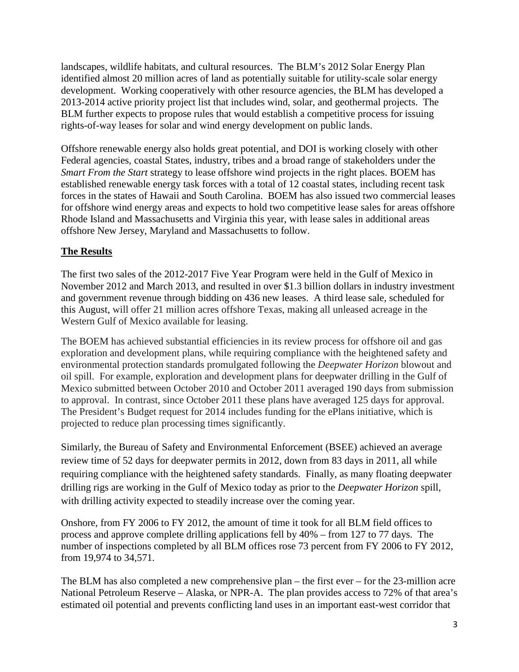landscapes, wildlife habitats, and cultural resources. The BLM's 2012 Solar Energy Plan identified almost 20 million acres of land as potentially suitable for utility-scale solar energy development. Working cooperatively with other resource agencies, the BLM has developed a 2013-2014 active priority project list that includes wind, solar, and geothermal projects. The BLM further expects to propose rules that would establish a competitive process for issuing rights-of-way leases for solar and wind energy development on public lands.

Offshore renewable energy also holds great potential, and DOI is working closely with other Federal agencies, coastal States, industry, tribes and a broad range of stakeholders under the *Smart From the Start* strategy to lease offshore wind projects in the right places. BOEM has established renewable energy task forces with a total of 12 coastal states, including recent task forces in the states of Hawaii and South Carolina. BOEM has also issued two commercial leases for offshore wind energy areas and expects to hold two competitive lease sales for areas offshore Rhode Island and Massachusetts and Virginia this year, with lease sales in additional areas offshore New Jersey, Maryland and Massachusetts to follow.

# **The Results**

The first two sales of the 2012-2017 Five Year Program were held in the Gulf of Mexico in November 2012 and March 2013, and resulted in over \$1.3 billion dollars in industry investment and government revenue through bidding on 436 new leases. A third lease sale, scheduled for this August, will offer 21 million acres offshore Texas, making all unleased acreage in the Western Gulf of Mexico available for leasing.

The BOEM has achieved substantial efficiencies in its review process for offshore oil and gas exploration and development plans, while requiring compliance with the heightened safety and environmental protection standards promulgated following the *Deepwater Horizon* blowout and oil spill. For example, exploration and development plans for deepwater drilling in the Gulf of Mexico submitted between October 2010 and October 2011 averaged 190 days from submission to approval. In contrast, since October 2011 these plans have averaged 125 days for approval. The President's Budget request for 2014 includes funding for the ePlans initiative, which is projected to reduce plan processing times significantly.

Similarly, the Bureau of Safety and Environmental Enforcement (BSEE) achieved an average review time of 52 days for deepwater permits in 2012, down from 83 days in 2011, all while requiring compliance with the heightened safety standards. Finally, as many floating deepwater drilling rigs are working in the Gulf of Mexico today as prior to the *Deepwater Horizon* spill, with drilling activity expected to steadily increase over the coming year.

Onshore, from FY 2006 to FY 2012, the amount of time it took for all BLM field offices to process and approve complete drilling applications fell by 40% – from 127 to 77 days. The number of inspections completed by all BLM offices rose 73 percent from FY 2006 to FY 2012, from 19,974 to 34,571.

The BLM has also completed a new comprehensive plan – the first ever – for the 23-million acre National Petroleum Reserve – Alaska, or NPR-A. The plan provides access to 72% of that area's estimated oil potential and prevents conflicting land uses in an important east-west corridor that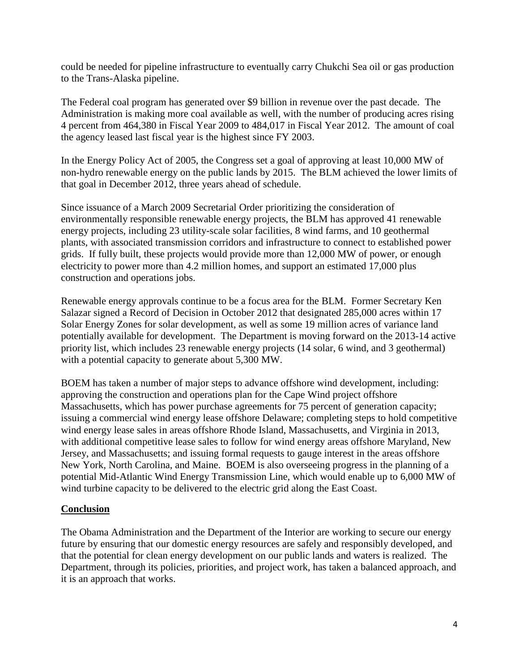could be needed for pipeline infrastructure to eventually carry Chukchi Sea oil or gas production to the Trans-Alaska pipeline.

The Federal coal program has generated over \$9 billion in revenue over the past decade. The Administration is making more coal available as well, with the number of producing acres rising 4 percent from 464,380 in Fiscal Year 2009 to 484,017 in Fiscal Year 2012. The amount of coal the agency leased last fiscal year is the highest since FY 2003.

In the Energy Policy Act of 2005, the Congress set a goal of approving at least 10,000 MW of non-hydro renewable energy on the public lands by 2015. The BLM achieved the lower limits of that goal in December 2012, three years ahead of schedule.

Since issuance of a March 2009 Secretarial Order prioritizing the consideration of environmentally responsible renewable energy projects, the BLM has approved 41 renewable energy projects, including 23 utility-scale solar facilities, 8 wind farms, and 10 geothermal plants, with associated transmission corridors and infrastructure to connect to established power grids. If fully built, these projects would provide more than 12,000 MW of power, or enough electricity to power more than 4.2 million homes, and support an estimated 17,000 plus construction and operations jobs.

Renewable energy approvals continue to be a focus area for the BLM. Former Secretary Ken Salazar signed a Record of Decision in October 2012 that designated 285,000 acres within 17 Solar Energy Zones for solar development, as well as some 19 million acres of variance land potentially available for development. The Department is moving forward on the 2013-14 active priority list, which includes 23 renewable energy projects (14 solar, 6 wind, and 3 geothermal) with a potential capacity to generate about 5,300 MW.

BOEM has taken a number of major steps to advance offshore wind development, including: approving the construction and operations plan for the Cape Wind project offshore Massachusetts, which has power purchase agreements for 75 percent of generation capacity; issuing a commercial wind energy lease offshore Delaware; completing steps to hold competitive wind energy lease sales in areas offshore Rhode Island, Massachusetts, and Virginia in 2013, with additional competitive lease sales to follow for wind energy areas offshore Maryland, New Jersey, and Massachusetts; and issuing formal requests to gauge interest in the areas offshore New York, North Carolina, and Maine. BOEM is also overseeing progress in the planning of a potential Mid-Atlantic Wind Energy Transmission Line, which would enable up to 6,000 MW of wind turbine capacity to be delivered to the electric grid along the East Coast.

## **Conclusion**

The Obama Administration and the Department of the Interior are working to secure our energy future by ensuring that our domestic energy resources are safely and responsibly developed, and that the potential for clean energy development on our public lands and waters is realized. The Department, through its policies, priorities, and project work, has taken a balanced approach, and it is an approach that works.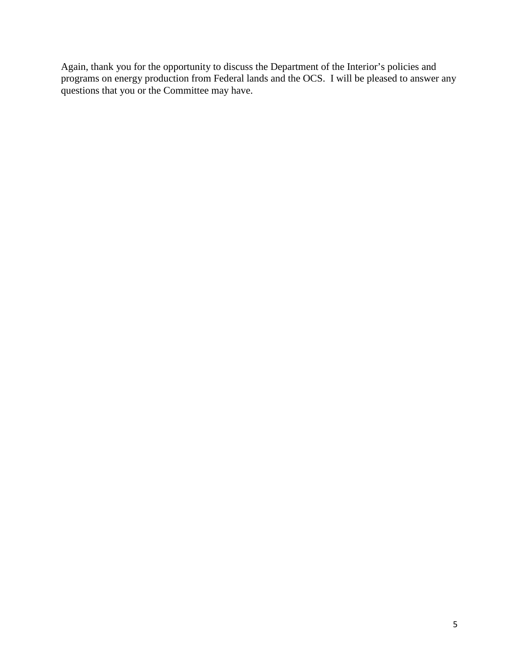Again, thank you for the opportunity to discuss the Department of the Interior's policies and programs on energy production from Federal lands and the OCS. I will be pleased to answer any questions that you or the Committee may have.